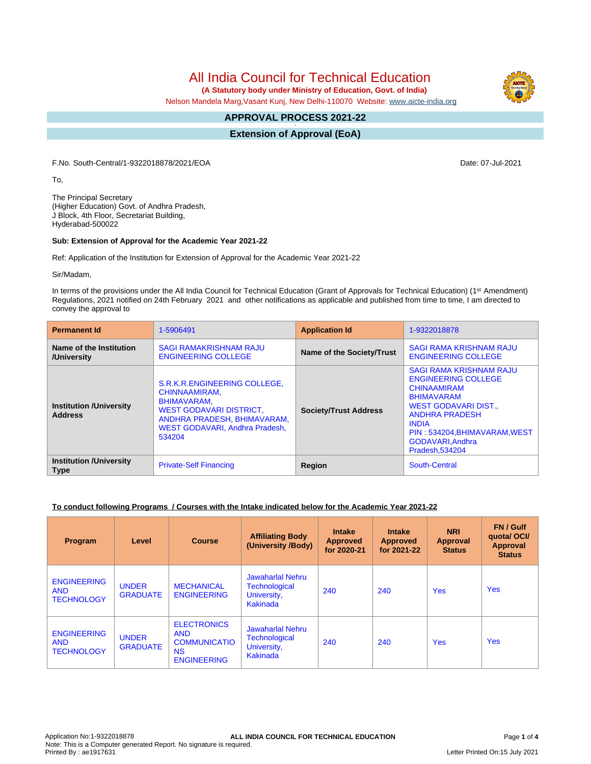# All India Council for Technical Education

 **(A Statutory body under Ministry of Education, Govt. of India)**

Nelson Mandela Marg,Vasant Kunj, New Delhi-110070 Website: [www.aicte-india.org](http://www.aicte-india.org)

#### **APPROVAL PROCESS 2021-22 -**

**Extension of Approval (EoA)**

F.No. South-Central/1-9322018878/2021/EOA Date: 07-Jul-2021

To,

The Principal Secretary (Higher Education) Govt. of Andhra Pradesh, J Block, 4th Floor, Secretariat Building, Hyderabad-500022

#### **Sub: Extension of Approval for the Academic Year 2021-22**

Ref: Application of the Institution for Extension of Approval for the Academic Year 2021-22

Sir/Madam,

In terms of the provisions under the All India Council for Technical Education (Grant of Approvals for Technical Education) (1<sup>st</sup> Amendment) Regulations, 2021 notified on 24th February 2021 and other notifications as applicable and published from time to time, I am directed to convey the approval to

| <b>Permanent Id</b>                              | 1-5906491                                                                                                                                                                 | <b>Application Id</b>        | 1-9322018878                                                                                                                                                                                                                                 |  |
|--------------------------------------------------|---------------------------------------------------------------------------------------------------------------------------------------------------------------------------|------------------------------|----------------------------------------------------------------------------------------------------------------------------------------------------------------------------------------------------------------------------------------------|--|
| Name of the Institution<br>/University           | <b>SAGI RAMAKRISHNAM RAJU</b><br><b>ENGINEERING COLLEGE</b>                                                                                                               | Name of the Society/Trust    | <b>SAGI RAMA KRISHNAM RAJU</b><br><b>ENGINEERING COLLEGE</b>                                                                                                                                                                                 |  |
| <b>Institution /University</b><br><b>Address</b> | S.R.K.R.ENGINEERING COLLEGE,<br>CHINNAAMIRAM,<br>BHIMAVARAM.<br><b>WEST GODAVARI DISTRICT.</b><br>ANDHRA PRADESH, BHIMAVARAM,<br>WEST GODAVARI, Andhra Pradesh,<br>534204 | <b>Society/Trust Address</b> | <b>SAGI RAMA KRISHNAM RAJU</b><br><b>ENGINEERING COLLEGE</b><br><b>CHINAAMIRAM</b><br><b>BHIMAVARAM</b><br>WEST GODAVARI DIST<br><b>ANDHRA PRADESH</b><br><b>INDIA</b><br>PIN: 534204, BHIMAVARAM, WEST<br>GODAVARI.Andhra<br>Pradesh.534204 |  |
| <b>Institution /University</b><br><b>Type</b>    | <b>Private-Self Financing</b>                                                                                                                                             | Region                       | South-Central                                                                                                                                                                                                                                |  |

### **To conduct following Programs / Courses with the Intake indicated below for the Academic Year 2021-22**

| Program                                               | Level                           | <b>Course</b>                                                                              | <b>Affiliating Body</b><br>(University /Body)                              | <b>Intake</b><br><b>Approved</b><br>for 2020-21 | <b>Intake</b><br><b>Approved</b><br>for 2021-22 | <b>NRI</b><br>Approval<br><b>Status</b> | FN / Gulf<br>quotal OCI/<br><b>Approval</b><br><b>Status</b> |
|-------------------------------------------------------|---------------------------------|--------------------------------------------------------------------------------------------|----------------------------------------------------------------------------|-------------------------------------------------|-------------------------------------------------|-----------------------------------------|--------------------------------------------------------------|
| <b>ENGINEERING</b><br><b>AND</b><br><b>TECHNOLOGY</b> | <b>UNDER</b><br><b>GRADUATE</b> | <b>MECHANICAL</b><br><b>ENGINEERING</b>                                                    | Jawaharlal Nehru<br>Technological<br>University,<br><b>Kakinada</b>        | 240                                             | 240                                             | <b>Yes</b>                              | <b>Yes</b>                                                   |
| <b>ENGINEERING</b><br><b>AND</b><br><b>TECHNOLOGY</b> | <b>UNDER</b><br><b>GRADUATE</b> | <b>ELECTRONICS</b><br><b>AND</b><br><b>COMMUNICATIO</b><br><b>NS</b><br><b>ENGINEERING</b> | <b>Jawaharlal Nehru</b><br><b>Technological</b><br>University,<br>Kakinada | 240                                             | 240                                             | <b>Yes</b>                              | <b>Yes</b>                                                   |



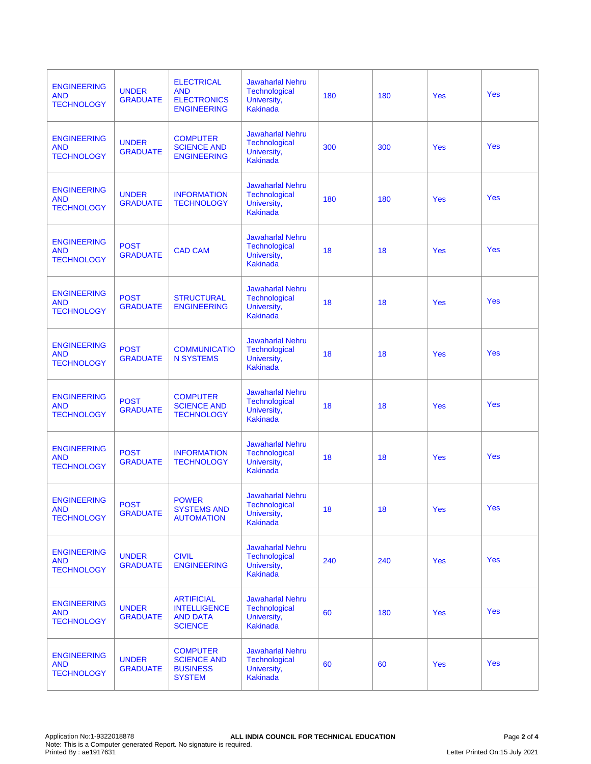| <b>ENGINEERING</b><br><b>AND</b><br><b>TECHNOLOGY</b> | <b>UNDER</b><br><b>GRADUATE</b> | <b>ELECTRICAL</b><br><b>AND</b><br><b>ELECTRONICS</b><br><b>ENGINEERING</b>   | <b>Jawaharlal Nehru</b><br>Technological<br>University,<br><b>Kakinada</b>        | 180 | 180 | <b>Yes</b> | Yes        |
|-------------------------------------------------------|---------------------------------|-------------------------------------------------------------------------------|-----------------------------------------------------------------------------------|-----|-----|------------|------------|
| <b>ENGINEERING</b><br><b>AND</b><br><b>TECHNOLOGY</b> | <b>UNDER</b><br><b>GRADUATE</b> | <b>COMPUTER</b><br><b>SCIENCE AND</b><br><b>ENGINEERING</b>                   | <b>Jawaharlal Nehru</b><br><b>Technological</b><br>University,<br><b>Kakinada</b> | 300 | 300 | <b>Yes</b> | Yes        |
| <b>ENGINEERING</b><br><b>AND</b><br><b>TECHNOLOGY</b> | <b>UNDER</b><br><b>GRADUATE</b> | <b>INFORMATION</b><br><b>TECHNOLOGY</b>                                       | <b>Jawaharlal Nehru</b><br>Technological<br>University,<br><b>Kakinada</b>        | 180 | 180 | Yes        | Yes        |
| <b>ENGINEERING</b><br><b>AND</b><br><b>TECHNOLOGY</b> | <b>POST</b><br><b>GRADUATE</b>  | <b>CAD CAM</b>                                                                | <b>Jawaharlal Nehru</b><br>Technological<br>University,<br><b>Kakinada</b>        | 18  | 18  | Yes        | Yes        |
| <b>ENGINEERING</b><br><b>AND</b><br><b>TECHNOLOGY</b> | <b>POST</b><br><b>GRADUATE</b>  | <b>STRUCTURAL</b><br><b>ENGINEERING</b>                                       | <b>Jawaharlal Nehru</b><br><b>Technological</b><br>University,<br><b>Kakinada</b> | 18  | 18  | Yes        | Yes        |
| <b>ENGINEERING</b><br><b>AND</b><br><b>TECHNOLOGY</b> | <b>POST</b><br><b>GRADUATE</b>  | <b>COMMUNICATIO</b><br><b>N SYSTEMS</b>                                       | <b>Jawaharlal Nehru</b><br><b>Technological</b><br>University,<br><b>Kakinada</b> | 18  | 18  | Yes        | Yes        |
| <b>ENGINEERING</b><br><b>AND</b><br><b>TECHNOLOGY</b> | <b>POST</b><br><b>GRADUATE</b>  | <b>COMPUTER</b><br><b>SCIENCE AND</b><br><b>TECHNOLOGY</b>                    | <b>Jawaharlal Nehru</b><br>Technological<br>University,<br><b>Kakinada</b>        | 18  | 18  | Yes        | Yes        |
| <b>ENGINEERING</b><br><b>AND</b><br><b>TECHNOLOGY</b> | <b>POST</b><br><b>GRADUATE</b>  | <b>INFORMATION</b><br><b>TECHNOLOGY</b>                                       | <b>Jawaharlal Nehru</b><br><b>Technological</b><br>University,<br><b>Kakinada</b> | 18  | 18  | Yes        | Yes        |
| <b>ENGINEERING</b><br><b>AND</b><br><b>TECHNOLOGY</b> | <b>POST</b><br><b>GRADUATE</b>  | <b>POWER</b><br><b>SYSTEMS AND</b><br><b>AUTOMATION</b>                       | <b>Jawaharlal Nehru</b><br><b>Technological</b><br>University,<br><b>Kakinada</b> | 18  | 18  | Yes        | Yes        |
| <b>ENGINEERING</b><br><b>AND</b><br><b>TECHNOLOGY</b> | <b>UNDER</b><br><b>GRADUATE</b> | <b>CIVIL</b><br><b>ENGINEERING</b>                                            | <b>Jawaharlal Nehru</b><br><b>Technological</b><br>University,<br><b>Kakinada</b> | 240 | 240 | Yes        | <b>Yes</b> |
| <b>ENGINEERING</b><br><b>AND</b><br><b>TECHNOLOGY</b> | <b>UNDER</b><br><b>GRADUATE</b> | <b>ARTIFICIAL</b><br><b>INTELLIGENCE</b><br><b>AND DATA</b><br><b>SCIENCE</b> | <b>Jawaharlal Nehru</b><br>Technological<br>University,<br><b>Kakinada</b>        | 60  | 180 | Yes        | <b>Yes</b> |
| <b>ENGINEERING</b><br><b>AND</b><br><b>TECHNOLOGY</b> | <b>UNDER</b><br><b>GRADUATE</b> | <b>COMPUTER</b><br><b>SCIENCE AND</b><br><b>BUSINESS</b><br><b>SYSTEM</b>     | <b>Jawaharlal Nehru</b><br>Technological<br>University,<br><b>Kakinada</b>        | 60  | 60  | Yes        | <b>Yes</b> |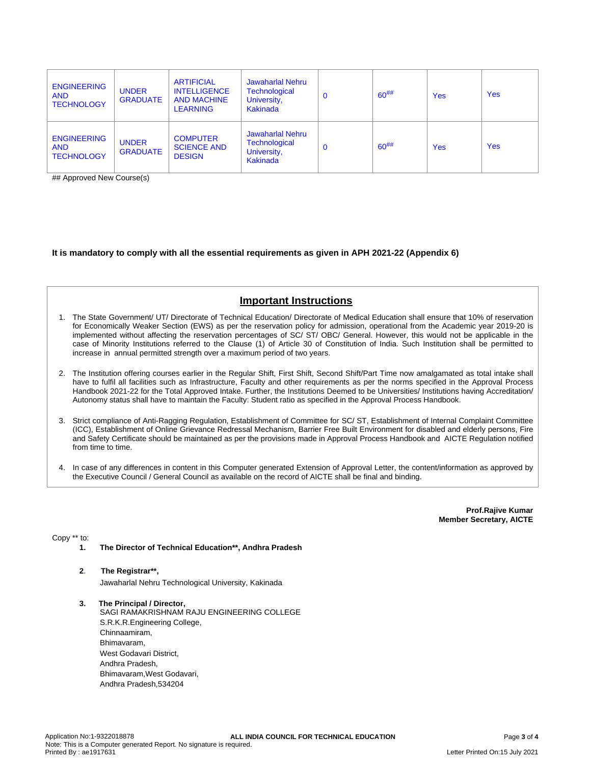| <b>ENGINEERING</b><br><b>AND</b><br><b>TECHNOLOGY</b> | <b>UNDER</b><br><b>GRADUATE</b> | <b>ARTIFICIAL</b><br><b>INTELLIGENCE</b><br><b>AND MACHINE</b><br><b>LEARNING</b> | <b>Jawaharlal Nehru</b><br><b>Technological</b><br>University,<br>Kakinada | $\mathbf 0$ | $60^{#}\%$ | <b>Yes</b> | <b>Yes</b> |
|-------------------------------------------------------|---------------------------------|-----------------------------------------------------------------------------------|----------------------------------------------------------------------------|-------------|------------|------------|------------|
| <b>ENGINEERING</b><br><b>AND</b><br><b>TECHNOLOGY</b> | <b>UNDER</b><br><b>GRADUATE</b> | <b>COMPUTER</b><br><b>SCIENCE AND</b><br><b>DESIGN</b>                            | Jawaharlal Nehru<br>Technological<br>University,<br>Kakinada               | $\mathbf 0$ | $60^{#}\%$ | <b>Yes</b> | <b>Yes</b> |

## Approved New Course(s)

### **It is mandatory to comply with all the essential requirements as given in APH 2021-22 (Appendix 6)**

## **Important Instructions**

- 1. The State Government/ UT/ Directorate of Technical Education/ Directorate of Medical Education shall ensure that 10% of reservation for Economically Weaker Section (EWS) as per the reservation policy for admission, operational from the Academic year 2019-20 is implemented without affecting the reservation percentages of SC/ ST/ OBC/ General. However, this would not be applicable in the case of Minority Institutions referred to the Clause (1) of Article 30 of Constitution of India. Such Institution shall be permitted to increase in annual permitted strength over a maximum period of two years.
- 2. The Institution offering courses earlier in the Regular Shift, First Shift, Second Shift/Part Time now amalgamated as total intake shall have to fulfil all facilities such as Infrastructure, Faculty and other requirements as per the norms specified in the Approval Process Handbook 2021-22 for the Total Approved Intake. Further, the Institutions Deemed to be Universities/ Institutions having Accreditation/ Autonomy status shall have to maintain the Faculty: Student ratio as specified in the Approval Process Handbook.
- 3. Strict compliance of Anti-Ragging Regulation, Establishment of Committee for SC/ ST, Establishment of Internal Complaint Committee (ICC), Establishment of Online Grievance Redressal Mechanism, Barrier Free Built Environment for disabled and elderly persons, Fire and Safety Certificate should be maintained as per the provisions made in Approval Process Handbook and AICTE Regulation notified from time to time.
- 4. In case of any differences in content in this Computer generated Extension of Approval Letter, the content/information as approved by the Executive Council / General Council as available on the record of AICTE shall be final and binding.

**Prof.Rajive Kumar Member Secretary, AICTE**

Copy \*\* to:

**1. The Director of Technical Education\*\*, Andhra Pradesh**

## **2**. **The Registrar\*\*,**

Jawaharlal Nehru Technological University, Kakinada

**3. The Principal / Director,** SAGI RAMAKRISHNAM RAJU ENGINEERING COLLEGE S.R.K.R.Engineering College, Chinnaamiram, Bhimavaram, West Godavari District, Andhra Pradesh, Bhimavaram,West Godavari, Andhra Pradesh,534204